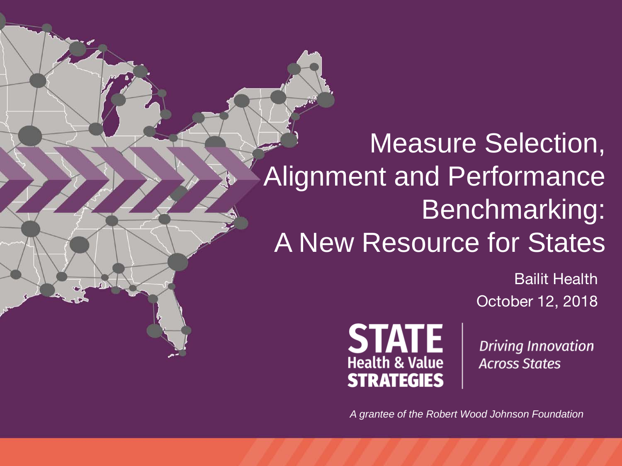# Measure Selection, Alignment and Performance Benchmarking: A New Resource for States

Bailit Health October 12, 2018



**Driving Innovation Across States** 

*A grantee of the Robert Wood Johnson Foundation*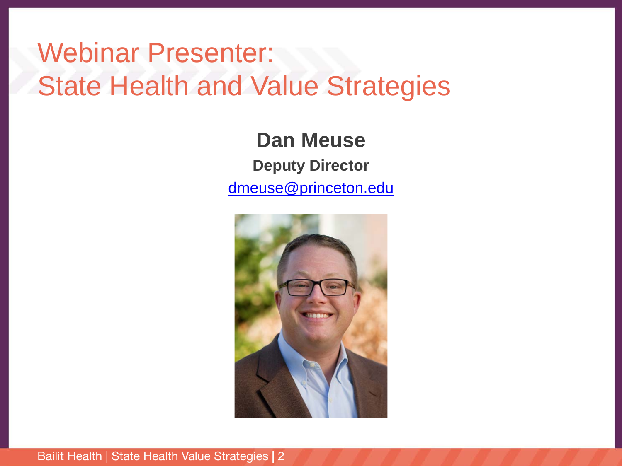#### Webinar Presenter: State Health and Value Strategies

**Dan Meuse Deputy Director** [dmeuse@princeton.edu](mailto:heatherh@princeton.edu)

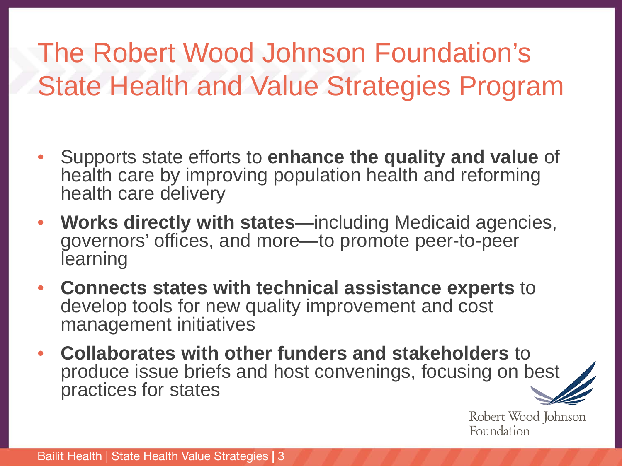# The Robert Wood Johnson Foundation's State Health and Value Strategies Program

- Supports state efforts to **enhance the quality and value** of health care by improving population health and reforming health care delivery
- **Works directly with states**—including Medicaid agencies, governors' offices, and more—to promote peer-to-peer learning
- **Connects states with technical assistance experts** to develop tools for new quality improvement and cost management initiatives
- **Collaborates with other funders and stakeholders** to produce issue briefs and host convenings, focusing on best practices for states

Robert Wood Johnson Foundation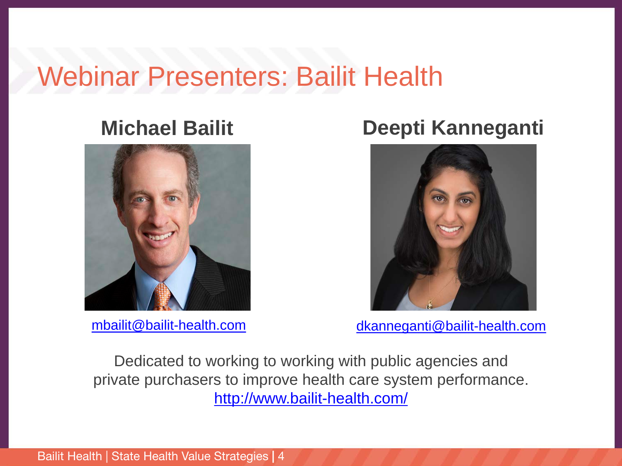#### Webinar Presenters: Bailit Health



#### **Michael Bailit Deepti Kanneganti**



[mbailit@bailit-health.com](mailto:mbailit@bailit-health.com) [dkanneganti@bailit-health.com](mailto:dkanneganti@bailit-health.com)

Dedicated to working to working with public agencies and private purchasers to improve health care system performance. <http://www.bailit-health.com/>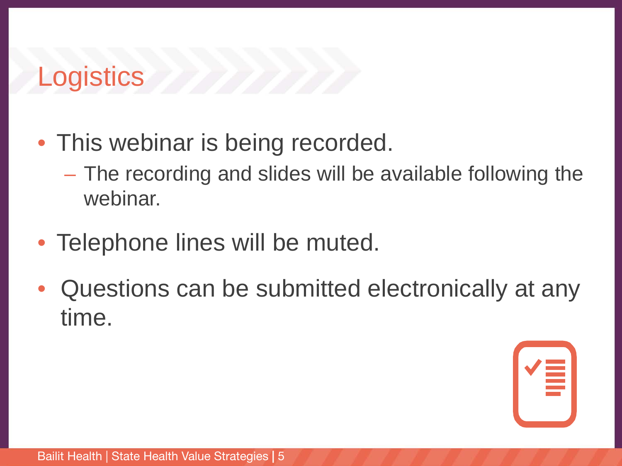### **Logistics**

- This webinar is being recorded.
	- The recording and slides will be available following the webinar.
- Telephone lines will be muted.
- Questions can be submitted electronically at any time.

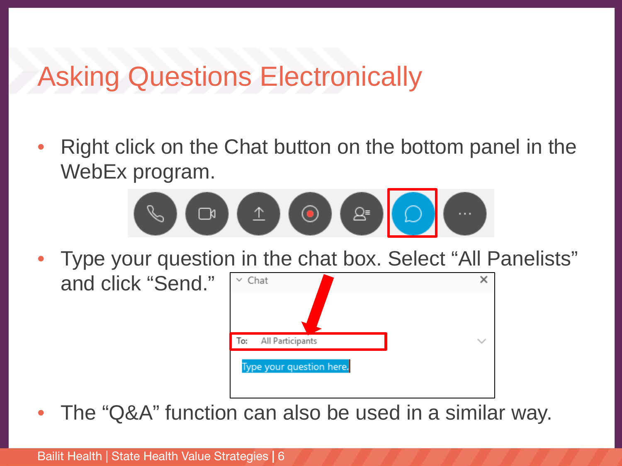#### Asking Questions Electronically

• Right click on the Chat button on the bottom panel in the WebEx program.



• Type your question in the chat box. Select "All Panelists"



The "Q&A" function can also be used in a similar way.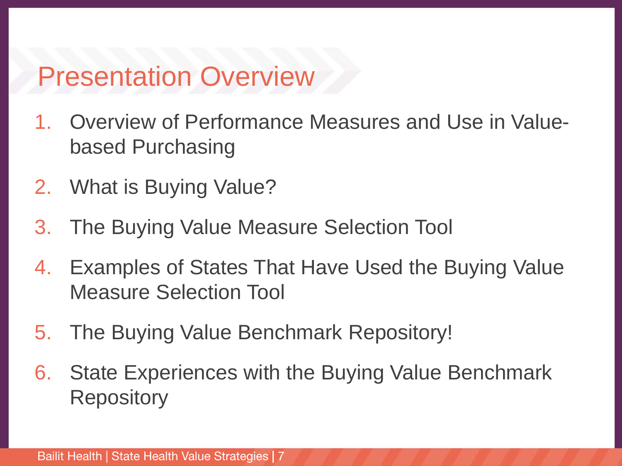#### Presentation Overview

- 1. Overview of Performance Measures and Use in Valuebased Purchasing
- 2. What is Buying Value?
- 3. The Buying Value Measure Selection Tool
- 4. Examples of States That Have Used the Buying Value Measure Selection Tool
- 5. The Buying Value Benchmark Repository!
- 6. State Experiences with the Buying Value Benchmark **Repository**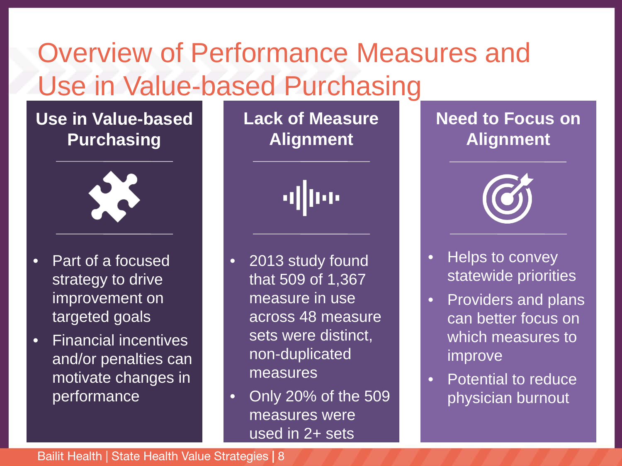# Overview of Performance Measures and Use in Value-based Purchasing

#### **Use in Value-based Purchasing**



- Part of a focused strategy to drive improvement on targeted goals
- Financial incentives and/or penalties can motivate changes in performance

**Lack of Measure Alignment**

alliae

• 2013 study found that 509 of 1,367 measure in use across 48 measure sets were distinct, non-duplicated measures

• Only 20% of the 509 measures were used in 2+ sets

#### **Need to Focus on Alignment**



- Helps to convey statewide priorities
- Providers and plans can better focus on which measures to improve
- Potential to reduce physician burnout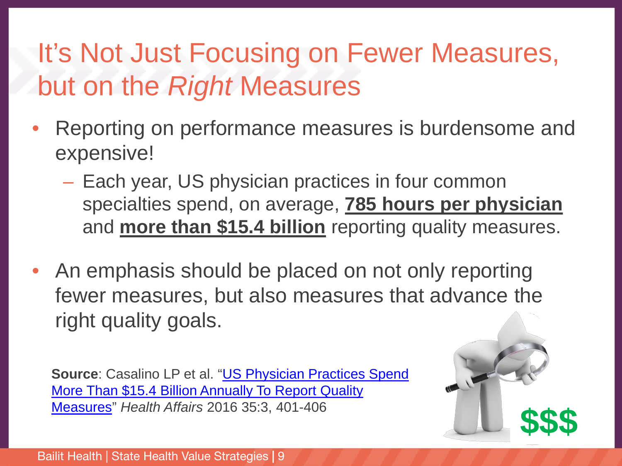### It's Not Just Focusing on Fewer Measures, but on the *Right* Measures

- Reporting on performance measures is burdensome and expensive!
	- Each year, US physician practices in four common specialties spend, on average, **785 hours per physician** and **more than \$15.4 billion** reporting quality measures.
- An emphasis should be placed on not only reporting fewer measures, but also measures that advance the right quality goals.

**Source[: Casalino LP et al. "US Physician Practices Spend](https://www.healthaffairs.org/doi/abs/10.1377/hlthaff.2015.1258)** More Than \$15.4 Billion Annually To Report Quality Measures" *Health Affairs* <sup>2016</sup> 35:3, 401-406 **\$\$\$**

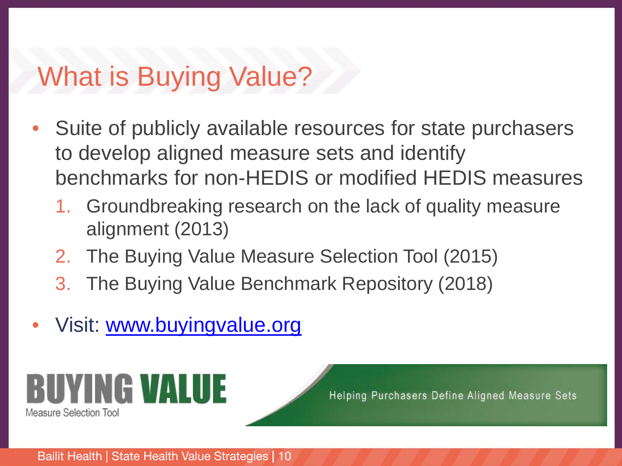### What is Buying Value?

- Suite of publicly available resources for state purchasers to develop aligned measure sets and identify benchmarks for non-HEDIS or modified HEDIS measures
	- 1. Groundbreaking research on the lack of quality measure alignment (2013)
	- 2. The Buying Value Measure Selection Tool (2015)
	- 3. The Buying Value Benchmark Repository (2018)
- Visit: [www.buyingvalue.org](http://www.buyingvalue.org/)



Helping Purchasers Define Aligned Measure Sets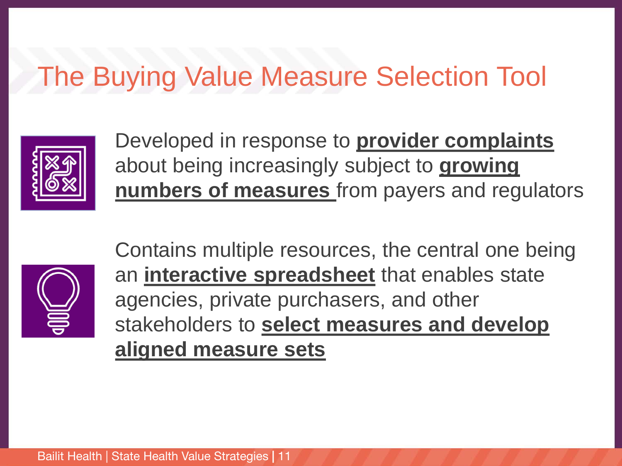#### The Buying Value Measure Selection Tool



Developed in response to **provider complaints** about being increasingly subject to **growing numbers of measures** from payers and regulators



Contains multiple resources, the central one being an **interactive spreadsheet** that enables state agencies, private purchasers, and other stakeholders to **select measures and develop aligned measure sets**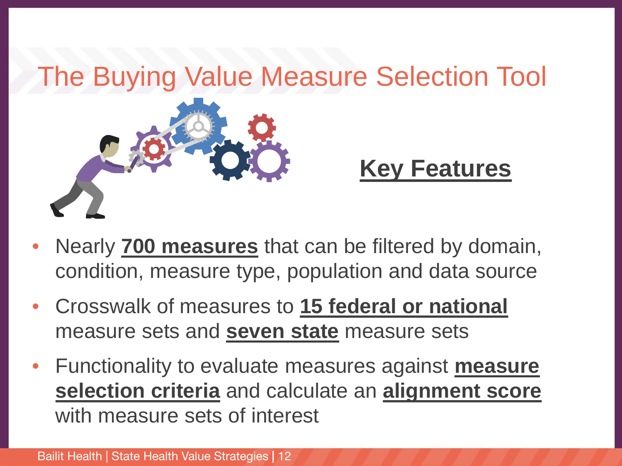

- Nearly **700 measures** that can be filtered by domain, condition, measure type, population and data source
- Crosswalk of measures to **15 federal or national** measure sets and **seven state** measure sets
- Functionality to evaluate measures against **measure selection criteria** and calculate an **alignment score** with measure sets of interest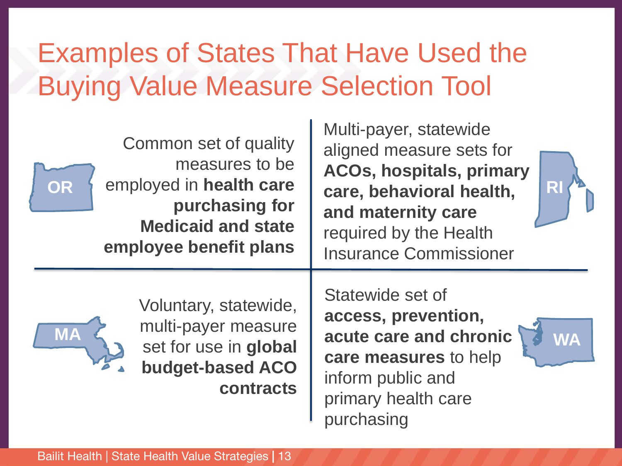# Examples of States That Have Used the Buying Value Measure Selection Tool

| Common set of quality                                                                                               | <b>NUITI-payer, statewide</b>                                                                                                                              |
|---------------------------------------------------------------------------------------------------------------------|------------------------------------------------------------------------------------------------------------------------------------------------------------|
| measures to be                                                                                                      | aligned measure sets for                                                                                                                                   |
| employed in health care                                                                                             | <b>ACOs, hospitals, primary</b>                                                                                                                            |
| OR                                                                                                                  | care, behavioral health,                                                                                                                                   |
| purchasing for                                                                                                      | and maternity care                                                                                                                                         |
| <b>Medicaid and state</b>                                                                                           | required by the Health                                                                                                                                     |
| employee benefit plans                                                                                              | <b>Insurance Commissioner</b>                                                                                                                              |
| Voluntary, statewide,<br>multi-payer measure<br><b>MA</b><br>set for use in global<br>budget-based ACO<br>contracts | Statewide set of<br>access, prevention,<br>acute care and chronic<br>WA<br>care measures to help<br>inform public and<br>primary health care<br>purchasing |

 $\mathbf{M}$  Multi-payer, statewide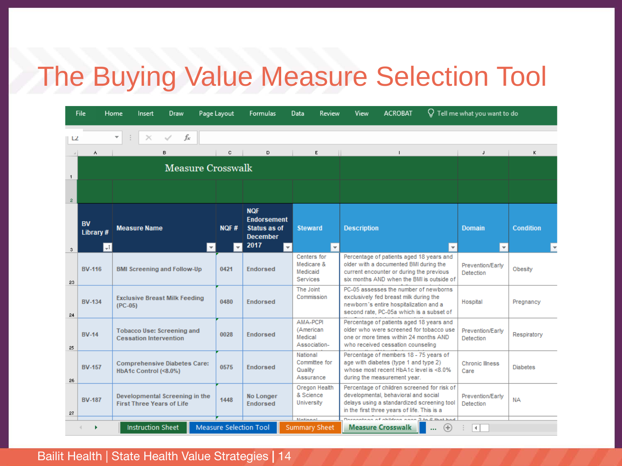#### The Buying Value Measure Selection Tool

|                | File                     | Home                                                               | Insert                   | Draw |                     | Page Layout                                                                        | <b>Formulas</b>               | Data                                             |                                                   | <b>Review</b>                                                                                                                                                                    | View                                                                                                                                                      | <b>ACROBAT</b>                                                        |                                      | $\operatorname{Q}$ Tell me what you want to do |   |
|----------------|--------------------------|--------------------------------------------------------------------|--------------------------|------|---------------------|------------------------------------------------------------------------------------|-------------------------------|--------------------------------------------------|---------------------------------------------------|----------------------------------------------------------------------------------------------------------------------------------------------------------------------------------|-----------------------------------------------------------------------------------------------------------------------------------------------------------|-----------------------------------------------------------------------|--------------------------------------|------------------------------------------------|---|
| L2             |                          | $\overline{\phantom{a}}$                                           |                          | fx   |                     |                                                                                    |                               |                                                  |                                                   |                                                                                                                                                                                  |                                                                                                                                                           |                                                                       |                                      |                                                |   |
|                | ٨                        |                                                                    |                          | B.   |                     | c                                                                                  | D.                            |                                                  | E                                                 |                                                                                                                                                                                  |                                                                                                                                                           |                                                                       |                                      | $\mathbf{J}$                                   | ĸ |
|                | <b>Measure Crosswalk</b> |                                                                    |                          |      |                     |                                                                                    |                               |                                                  |                                                   |                                                                                                                                                                                  |                                                                                                                                                           |                                                                       |                                      |                                                |   |
| $\mathbf{1}$   |                          |                                                                    |                          |      |                     |                                                                                    |                               |                                                  |                                                   |                                                                                                                                                                                  |                                                                                                                                                           |                                                                       |                                      |                                                |   |
| $\overline{2}$ |                          |                                                                    |                          |      |                     |                                                                                    |                               |                                                  |                                                   |                                                                                                                                                                                  |                                                                                                                                                           |                                                                       |                                      |                                                |   |
|                | <b>BV</b><br>Library #   | <b>Measure Name</b>                                                |                          |      | NOF#                | <b>NQF</b><br><b>Endorsement</b><br><b>Status as of</b><br><b>December</b><br>2017 |                               | <b>Steward</b>                                   |                                                   | <b>Description</b>                                                                                                                                                               |                                                                                                                                                           |                                                                       | <b>Domain</b>                        | <b>Condition</b>                               |   |
| 3              | $-t$                     |                                                                    |                          |      | $\overline{\nabla}$ | $\overline{\mathbf{v}}$                                                            |                               | $\overline{\mathbf{v}}$                          | Centers for                                       | $\overline{\phantom{a}}$                                                                                                                                                         |                                                                                                                                                           | Percentage of patients aged 18 years and                              | $\overline{\phantom{a}}$             | $\overline{\mathbf{v}}$                        |   |
| 23             | <b>BV-116</b>            | <b>BMI Screening and Follow-Up</b>                                 |                          |      | 0421                | <b>Endorsed</b>                                                                    |                               | Medicare &<br>Medicaid<br><b>Services</b>        |                                                   | older with a documented BMI during the<br>current encounter or during the previous<br>six months AND when the BMI is outside of                                                  |                                                                                                                                                           |                                                                       | Prevention/Early<br>Detection        | Obesity                                        |   |
| 24             | <b>BV-134</b>            | <b>Exclusive Breast Milk Feeding</b><br>$(PC-05)$                  |                          |      | 0480                | <b>Endorsed</b>                                                                    |                               | The Joint<br>Commission                          |                                                   | PC-05 assesses the number of newborns<br>exclusively fed breast milk during the<br>newborn's entire hospitalization and a<br>second rate, PC-05a which is a subset of            |                                                                                                                                                           |                                                                       | Hospital                             | Pregnancy                                      |   |
| 25             | <b>BV-14</b>             | <b>Tobacco Use: Screening and</b><br><b>Cessation Intervention</b> |                          |      | 0028                | <b>Endorsed</b>                                                                    |                               | AMA-PCPI<br>(American<br>Medical<br>Association- |                                                   | Percentage of patients aged 18 years and<br>older who were screened for tobacco use<br>one or more times within 24 months AND<br>who received cessation counseling               |                                                                                                                                                           |                                                                       | Prevention/Early<br><b>Detection</b> | Respiratory                                    |   |
| 26             | <b>BV-157</b>            | <b>Comprehensive Diabetes Care:</b><br>HbA1c Control (<8.0%)       |                          |      |                     | 0575                                                                               | <b>Endorsed</b>               |                                                  | National<br>Committee for<br>Quality<br>Assurance |                                                                                                                                                                                  | Percentage of members 18 - 75 years of<br>age with diabetes (type 1 and type 2)<br>whose most recent HbA1c level is <8.0%<br>during the measurement year. |                                                                       | <b>Chronic Illness</b><br>Care       | <b>Diabetes</b>                                |   |
| 27             | <b>BV-187</b>            | Developmental Screening in the<br><b>First Three Years of Life</b> |                          |      | 1448                | <b>No Longer</b><br><b>Endorsed</b>                                                |                               | Oregon Health<br>& Science<br>University         |                                                   | Percentage of children screened for risk of<br>developmental, behavioral and social<br>delays using a standardized screening tool<br>in the first three years of life. This is a |                                                                                                                                                           | Prevention/Early<br>Detection                                         | <b>NA</b>                            |                                                |   |
|                |                          |                                                                    | <b>Instruction Sheet</b> |      |                     |                                                                                    | <b>Measure Selection Tool</b> |                                                  | Mational<br><b>Summary Sheet</b>                  |                                                                                                                                                                                  |                                                                                                                                                           | December of children case 2 to 2 that had<br><b>Measure Crosswalk</b> | $^{(+)}$<br>                         | $\overline{4}$                                 |   |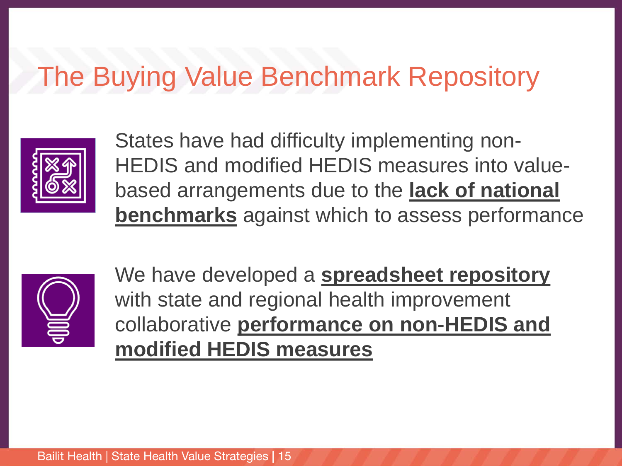#### The Buying Value Benchmark Repository



States have had difficulty implementing non-HEDIS and modified HEDIS measures into valuebased arrangements due to the **lack of national benchmarks** against which to assess performance



We have developed a **spreadsheet repository** with state and regional health improvement collaborative **performance on non-HEDIS and modified HEDIS measures**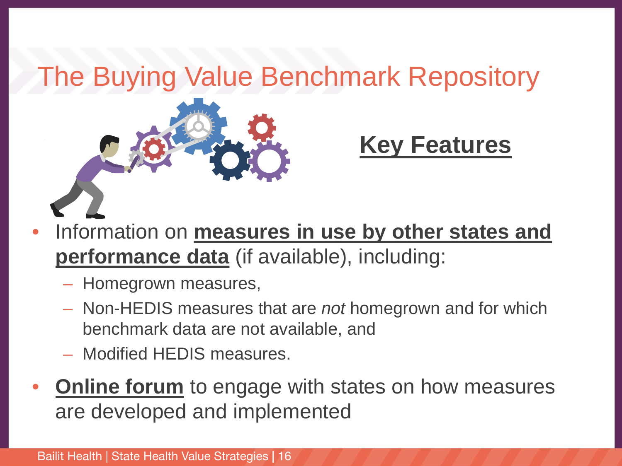# The Buying Value Benchmark Repository



#### **Key Features**

- Information on **measures in use by other states and performance data** (if available), including:
	- Homegrown measures,
	- Non-HEDIS measures that are *not* homegrown and for which benchmark data are not available, and
	- Modified HEDIS measures.
- **Online forum** to engage with states on how measures are developed and implemented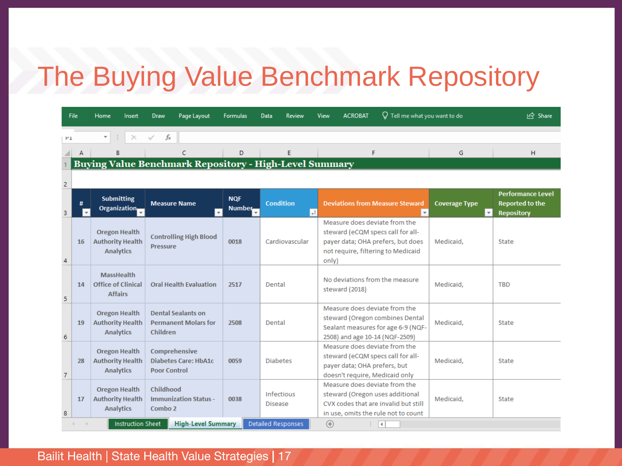#### The Buying Value Benchmark Repository

| File                                                          |    | Home<br>Insert                                                      | <b>Draw</b><br>Page Layout                                           | <b>Formulas</b>             | Data<br>Review               | $\operatorname{Q}$ Tell me what you want to do<br><b>ACROBAT</b><br>View                                                                               |                                | In Share                                                                |  |  |  |
|---------------------------------------------------------------|----|---------------------------------------------------------------------|----------------------------------------------------------------------|-----------------------------|------------------------------|--------------------------------------------------------------------------------------------------------------------------------------------------------|--------------------------------|-------------------------------------------------------------------------|--|--|--|
| $H_{\perp}$                                                   |    | $\overline{\mathbf{v}}$                                             | fx                                                                   |                             |                              |                                                                                                                                                        |                                |                                                                         |  |  |  |
|                                                               |    | B                                                                   | c                                                                    | D                           | E                            | F                                                                                                                                                      | G                              | н                                                                       |  |  |  |
| <b>Buying Value Benchmark Repository - High-Level Summary</b> |    |                                                                     |                                                                      |                             |                              |                                                                                                                                                        |                                |                                                                         |  |  |  |
| 2                                                             |    |                                                                     |                                                                      |                             |                              |                                                                                                                                                        |                                |                                                                         |  |  |  |
| 3                                                             |    | <b>Submitting</b><br>Organization                                   | <b>Measure Name</b><br>$\mathbf{v}$                                  | <b>NQF</b><br><b>Number</b> | <b>Condition</b><br>$+1$     | <b>Deviations from Measure Steward</b><br>$\mathbf{v}$                                                                                                 | <b>Coverage Type</b><br>$\sim$ | <b>Performance Level</b><br><b>Reported to the</b><br><b>Repository</b> |  |  |  |
| 4                                                             | 16 | <b>Oregon Health</b><br><b>Authority Health</b><br><b>Analytics</b> | <b>Controlling High Blood</b><br><b>Pressure</b>                     | 0018<br>Cardiovascular      |                              | Measure does deviate from the<br>steward (eCQM specs call for all-<br>payer data; OHA prefers, but does<br>not require, filtering to Medicaid<br>only) | Medicaid,                      | <b>State</b>                                                            |  |  |  |
| 5                                                             | 14 | <b>MassHealth</b><br><b>Office of Clinical</b><br><b>Affairs</b>    | <b>Oral Health Evaluation</b>                                        | 2517                        | Dental                       | No deviations from the measure<br>steward (2018)                                                                                                       | Medicaid,                      | <b>TBD</b>                                                              |  |  |  |
| 6                                                             | 19 | <b>Oregon Health</b><br><b>Authority Health</b><br><b>Analytics</b> | <b>Dental Sealants on</b><br><b>Permanent Molars for</b><br>Children | 2508                        | Dental                       | Measure does deviate from the<br>steward (Oregon combines Dental<br>Sealant measures for age 6-9 (NQF-<br>2508) and age 10-14 (NQF-2509)               | Medicaid,                      | <b>State</b>                                                            |  |  |  |
| $\overline{7}$                                                | 28 | <b>Oregon Health</b><br><b>Authority Health</b><br><b>Analytics</b> | Comprehensive<br><b>Diabetes Care: HbA1c</b><br><b>Poor Control</b>  | 0059                        | <b>Diabetes</b>              | Measure does deviate from the<br>steward (eCQM specs call for all-<br>payer data; OHA prefers, but<br>doesn't require, Medicaid only                   | Medicaid,                      | State                                                                   |  |  |  |
| 8                                                             | 17 | <b>Oregon Health</b><br><b>Authority Health</b><br><b>Analytics</b> | Childhood<br><b>Immunization Status -</b><br>Combo 2                 | 0038                        | Infectious<br><b>Disease</b> | Measure does deviate from the<br>steward (Oregon uses additional<br>CVX codes that are invalid but still<br>in use, omits the rule not to count        | Medicaid,                      | <b>State</b>                                                            |  |  |  |
|                                                               |    | <b>Instruction Sheet</b>                                            | <b>High-Level Summary</b>                                            |                             | <b>Detailed Responses</b>    | $^{\circledR}$<br>$\overline{4}$<br>÷.                                                                                                                 |                                |                                                                         |  |  |  |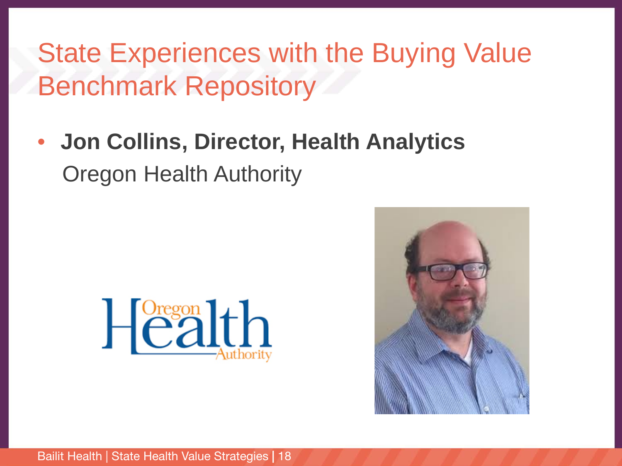### State Experiences with the Buying Value Benchmark Repository

• **Jon Collins, Director, Health Analytics** Oregon Health Authority